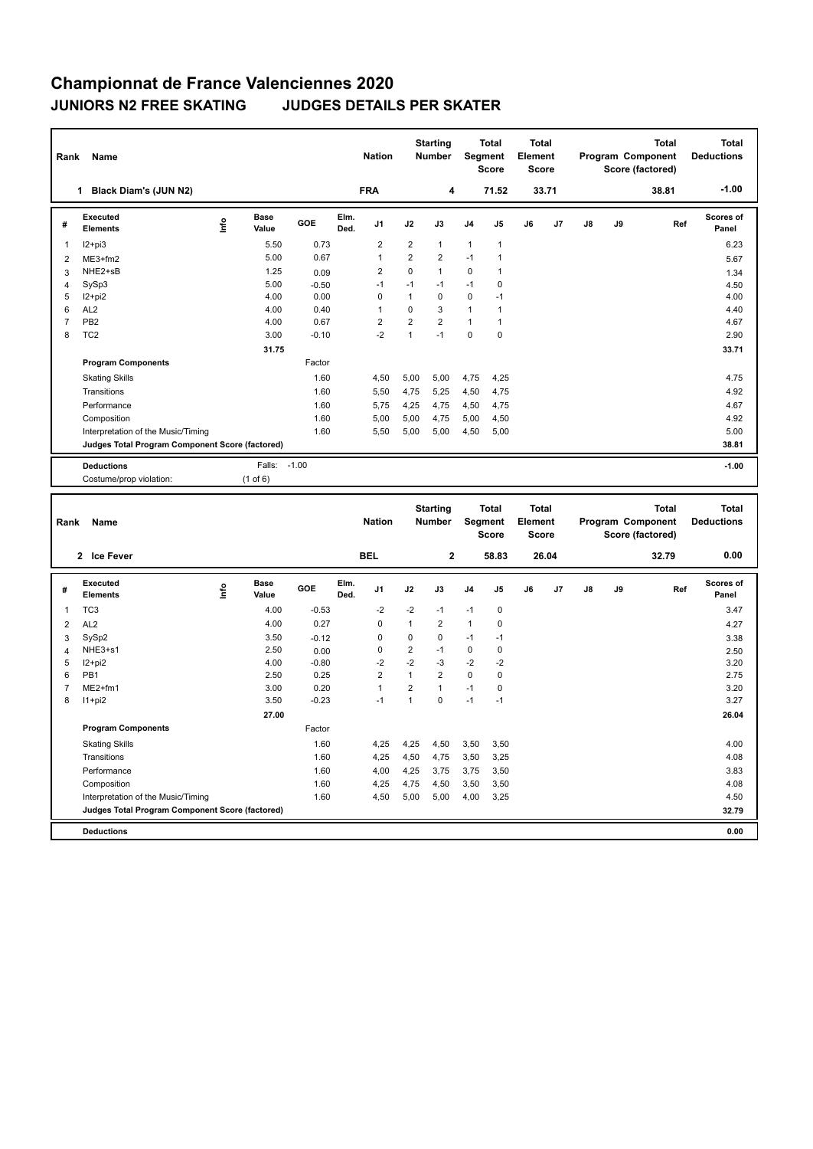## **Championnat de France Valenciennes 2020 JUNIORS N2 FREE SKATING JUDGES DETAILS PER SKATER**

| Rank           | Name                                            |                              |         |              | <b>Nation</b>  |                | <b>Starting</b><br><b>Number</b> |                | <b>Total</b><br>Segment<br><b>Score</b> | <b>Total</b><br>Element<br><b>Score</b> |       |    |    | <b>Total</b><br>Program Component<br>Score (factored) | <b>Total</b><br><b>Deductions</b> |
|----------------|-------------------------------------------------|------------------------------|---------|--------------|----------------|----------------|----------------------------------|----------------|-----------------------------------------|-----------------------------------------|-------|----|----|-------------------------------------------------------|-----------------------------------|
|                | Black Diam's (JUN N2)<br>1                      |                              |         |              | <b>FRA</b>     |                | 4                                |                | 71.52                                   |                                         | 33.71 |    |    | 38.81                                                 | $-1.00$                           |
| #              | Executed<br><b>Elements</b>                     | <b>Base</b><br>lnfo<br>Value | GOE     | Elm.<br>Ded. | J <sub>1</sub> | J2             | J3                               | J <sub>4</sub> | J <sub>5</sub>                          | J6                                      | J7    | J8 | J9 | Ref                                                   | Scores of<br>Panel                |
| 1              | $12+pi3$                                        | 5.50                         | 0.73    |              | $\overline{2}$ | 2              | $\mathbf{1}$                     | $\mathbf{1}$   | $\mathbf{1}$                            |                                         |       |    |    |                                                       | 6.23                              |
| 2              | $ME3+fm2$                                       | 5.00                         | 0.67    |              | $\overline{1}$ | $\overline{2}$ | $\overline{2}$                   | $-1$           |                                         |                                         |       |    |    |                                                       | 5.67                              |
| 3              | NHE2+sB                                         | 1.25                         | 0.09    |              | $\overline{2}$ | $\Omega$       | $\mathbf{1}$                     | 0              | 1                                       |                                         |       |    |    |                                                       | 1.34                              |
| $\overline{4}$ | SySp3                                           | 5.00                         | $-0.50$ |              | $-1$           | $-1$           | $-1$                             | $-1$           | $\pmb{0}$                               |                                         |       |    |    |                                                       | 4.50                              |
| 5              | I2+pi2                                          | 4.00                         | 0.00    |              | 0              | 1              | 0                                | 0              | $-1$                                    |                                         |       |    |    |                                                       | 4.00                              |
| 6              | AL <sub>2</sub>                                 | 4.00                         | 0.40    |              | 1              | 0              | 3                                | 1              | $\mathbf{1}$                            |                                         |       |    |    |                                                       | 4.40                              |
| $\overline{7}$ | PB <sub>2</sub>                                 | 4.00                         | 0.67    |              | $\overline{2}$ | $\overline{2}$ | $\overline{2}$                   | $\mathbf{1}$   | $\mathbf{1}$                            |                                         |       |    |    |                                                       | 4.67                              |
| 8              | TC <sub>2</sub>                                 | 3.00                         | $-0.10$ |              | $-2$           | 1              | $-1$                             | $\mathbf 0$    | $\mathbf 0$                             |                                         |       |    |    |                                                       | 2.90                              |
|                |                                                 | 31.75                        |         |              |                |                |                                  |                |                                         |                                         |       |    |    |                                                       | 33.71                             |
|                | <b>Program Components</b>                       |                              | Factor  |              |                |                |                                  |                |                                         |                                         |       |    |    |                                                       |                                   |
|                | <b>Skating Skills</b>                           |                              | 1.60    |              | 4,50           | 5,00           | 5,00                             | 4,75           | 4,25                                    |                                         |       |    |    |                                                       | 4.75                              |
|                | Transitions                                     |                              | 1.60    |              | 5,50           | 4,75           | 5,25                             | 4,50           | 4,75                                    |                                         |       |    |    |                                                       | 4.92                              |
|                | Performance                                     |                              | 1.60    |              | 5,75           | 4,25           | 4,75                             | 4,50           | 4,75                                    |                                         |       |    |    |                                                       | 4.67                              |
|                | Composition                                     |                              | 1.60    |              | 5,00           | 5,00           | 4,75                             | 5,00           | 4,50                                    |                                         |       |    |    |                                                       | 4.92                              |
|                | Interpretation of the Music/Timing              |                              | 1.60    |              | 5,50           | 5,00           | 5,00                             | 4,50           | 5,00                                    |                                         |       |    |    |                                                       | 5.00                              |
|                | Judges Total Program Component Score (factored) |                              |         |              |                |                |                                  |                |                                         |                                         |       |    |    |                                                       | 38.81                             |
|                | <b>Deductions</b>                               | Falls:                       | $-1.00$ |              |                |                |                                  |                |                                         |                                         |       |    |    |                                                       | $-1.00$                           |
|                | Costume/prop violation:                         | $(1$ of $6)$                 |         |              |                |                |                                  |                |                                         |                                         |       |    |    |                                                       |                                   |

| Rank           | Name                                            |                              |         |              | <b>Nation</b>  |                | <b>Starting</b><br><b>Number</b> |                | <b>Total</b><br>Segment<br><b>Score</b> | <b>Total</b><br><b>Element</b><br><b>Score</b> |                |    |    | <b>Total</b><br>Program Component<br>Score (factored) | Total<br><b>Deductions</b> |
|----------------|-------------------------------------------------|------------------------------|---------|--------------|----------------|----------------|----------------------------------|----------------|-----------------------------------------|------------------------------------------------|----------------|----|----|-------------------------------------------------------|----------------------------|
|                | 2 Ice Fever                                     |                              |         |              | <b>BEL</b>     |                | $\mathbf{2}$                     |                | 58.83                                   |                                                | 26.04          |    |    | 32.79                                                 | 0.00                       |
| #              | Executed<br><b>Elements</b>                     | <b>Base</b><br>lnfo<br>Value | GOE     | Elm.<br>Ded. | J <sub>1</sub> | J2             | J3                               | J <sub>4</sub> | J <sub>5</sub>                          | J6                                             | J <sub>7</sub> | J8 | J9 | Ref                                                   | Scores of<br>Panel         |
| 1              | TC <sub>3</sub>                                 | 4.00                         | $-0.53$ |              | $-2$           | $-2$           | $-1$                             | $-1$           | 0                                       |                                                |                |    |    |                                                       | 3.47                       |
| $\overline{2}$ | AL <sub>2</sub>                                 | 4.00                         | 0.27    |              | 0              | $\mathbf{1}$   | $\overline{2}$                   | $\mathbf{1}$   | 0                                       |                                                |                |    |    |                                                       | 4.27                       |
| 3              | SySp2                                           | 3.50                         | $-0.12$ |              | 0              | 0              | 0                                | $-1$           | $-1$                                    |                                                |                |    |    |                                                       | 3.38                       |
| $\overline{4}$ | NHE3+s1                                         | 2.50                         | 0.00    |              | 0              | 2              | -1                               | 0              | 0                                       |                                                |                |    |    |                                                       | 2.50                       |
| 5              | $12 + pi2$                                      | 4.00                         | $-0.80$ |              | $-2$           | $-2$           | $-3$                             | $-2$           | $-2$                                    |                                                |                |    |    |                                                       | 3.20                       |
| 6              | PB <sub>1</sub>                                 | 2.50                         | 0.25    |              | $\overline{2}$ | 1              | $\overline{2}$                   | $\mathbf 0$    | 0                                       |                                                |                |    |    |                                                       | 2.75                       |
| $\overline{7}$ | $ME2+fm1$                                       | 3.00                         | 0.20    |              | 1              | $\overline{2}$ | $\mathbf{1}$                     | $-1$           | 0                                       |                                                |                |    |    |                                                       | 3.20                       |
| 8              | $11+pi2$                                        | 3.50                         | $-0.23$ |              | $-1$           | 1              | $\mathbf 0$                      | $-1$           | $-1$                                    |                                                |                |    |    |                                                       | 3.27                       |
|                |                                                 | 27.00                        |         |              |                |                |                                  |                |                                         |                                                |                |    |    |                                                       | 26.04                      |
|                | <b>Program Components</b>                       |                              | Factor  |              |                |                |                                  |                |                                         |                                                |                |    |    |                                                       |                            |
|                | <b>Skating Skills</b>                           |                              | 1.60    |              | 4,25           | 4,25           | 4,50                             | 3,50           | 3,50                                    |                                                |                |    |    |                                                       | 4.00                       |
|                | Transitions                                     |                              | 1.60    |              | 4,25           | 4,50           | 4,75                             | 3,50           | 3,25                                    |                                                |                |    |    |                                                       | 4.08                       |
|                | Performance                                     |                              | 1.60    |              | 4,00           | 4,25           | 3,75                             | 3,75           | 3,50                                    |                                                |                |    |    |                                                       | 3.83                       |
|                | Composition                                     |                              | 1.60    |              | 4,25           | 4,75           | 4,50                             | 3,50           | 3,50                                    |                                                |                |    |    |                                                       | 4.08                       |
|                | Interpretation of the Music/Timing              |                              | 1.60    |              | 4,50           | 5,00           | 5,00                             | 4,00           | 3,25                                    |                                                |                |    |    |                                                       | 4.50                       |
|                | Judges Total Program Component Score (factored) |                              |         |              |                |                |                                  |                |                                         |                                                |                |    |    |                                                       | 32.79                      |
|                | <b>Deductions</b>                               |                              |         |              |                |                |                                  |                |                                         |                                                |                |    |    |                                                       | 0.00                       |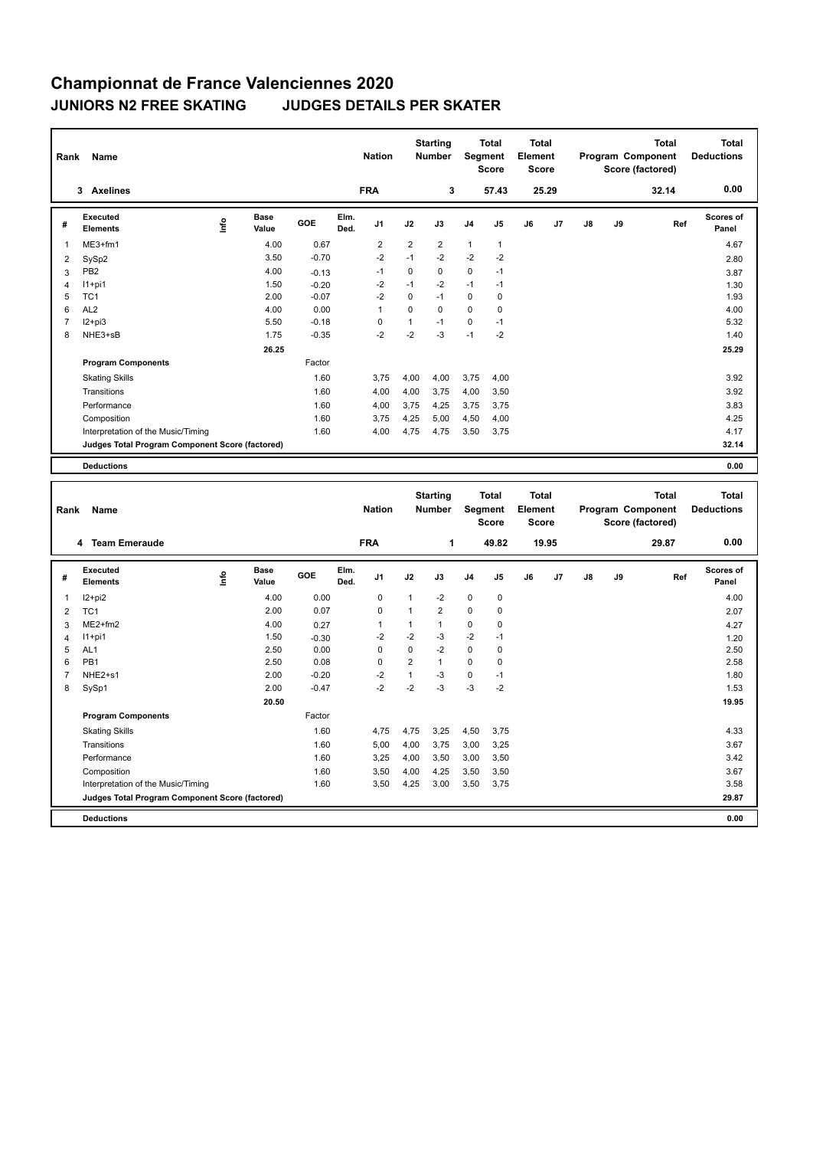## **Championnat de France Valenciennes 2020 JUNIORS N2 FREE SKATING JUDGES DETAILS PER SKATER**

| Rank           | Name                                            |      |                      |         |              | <b>Nation</b>  |                | <b>Starting</b><br><b>Number</b> | Segment        | <b>Total</b><br><b>Score</b> | Total<br>Element<br><b>Score</b> |       |    |    | <b>Total</b><br>Program Component<br>Score (factored) | <b>Total</b><br><b>Deductions</b> |
|----------------|-------------------------------------------------|------|----------------------|---------|--------------|----------------|----------------|----------------------------------|----------------|------------------------------|----------------------------------|-------|----|----|-------------------------------------------------------|-----------------------------------|
|                | <b>Axelines</b><br>3                            |      |                      |         |              | <b>FRA</b>     |                | 3                                |                | 57.43                        |                                  | 25.29 |    |    | 32.14                                                 | 0.00                              |
| #              | Executed<br><b>Elements</b>                     | lnfo | <b>Base</b><br>Value | GOE     | Elm.<br>Ded. | J <sub>1</sub> | J2             | J3                               | J <sub>4</sub> | J <sub>5</sub>               | J6                               | J7    | J8 | J9 | Ref                                                   | Scores of<br>Panel                |
| 1              | $ME3+fm1$                                       |      | 4.00                 | 0.67    |              | $\overline{2}$ | $\overline{2}$ | 2                                | $\mathbf{1}$   | $\mathbf{1}$                 |                                  |       |    |    |                                                       | 4.67                              |
| 2              | SySp2                                           |      | 3.50                 | $-0.70$ |              | $-2$           | $-1$           | $-2$                             | $-2$           | $-2$                         |                                  |       |    |    |                                                       | 2.80                              |
| 3              | PB <sub>2</sub>                                 |      | 4.00                 | $-0.13$ |              | $-1$           | $\mathbf 0$    | 0                                | $\mathbf 0$    | $-1$                         |                                  |       |    |    |                                                       | 3.87                              |
| $\overline{4}$ | $11+pi1$                                        |      | 1.50                 | $-0.20$ |              | $-2$           | $-1$           | $-2$                             | $-1$           | $-1$                         |                                  |       |    |    |                                                       | 1.30                              |
| 5              | TC <sub>1</sub>                                 |      | 2.00                 | $-0.07$ |              | $-2$           | 0              | $-1$                             | $\mathbf 0$    | 0                            |                                  |       |    |    |                                                       | 1.93                              |
| 6              | AL <sub>2</sub>                                 |      | 4.00                 | 0.00    |              | $\mathbf{1}$   | $\Omega$       | 0                                | 0              | 0                            |                                  |       |    |    |                                                       | 4.00                              |
| $\overline{7}$ | $I2+pi3$                                        |      | 5.50                 | $-0.18$ |              | 0              | $\mathbf{1}$   | $-1$                             | $\Omega$       | $-1$                         |                                  |       |    |    |                                                       | 5.32                              |
| 8              | NHE3+sB                                         |      | 1.75                 | $-0.35$ |              | $-2$           | $-2$           | $-3$                             | $-1$           | $-2$                         |                                  |       |    |    |                                                       | 1.40                              |
|                |                                                 |      | 26.25                |         |              |                |                |                                  |                |                              |                                  |       |    |    |                                                       | 25.29                             |
|                | <b>Program Components</b>                       |      |                      | Factor  |              |                |                |                                  |                |                              |                                  |       |    |    |                                                       |                                   |
|                | <b>Skating Skills</b>                           |      |                      | 1.60    |              | 3,75           | 4,00           | 4,00                             | 3,75           | 4,00                         |                                  |       |    |    |                                                       | 3.92                              |
|                | Transitions                                     |      |                      | 1.60    |              | 4,00           | 4,00           | 3,75                             | 4,00           | 3,50                         |                                  |       |    |    |                                                       | 3.92                              |
|                | Performance                                     |      |                      | 1.60    |              | 4,00           | 3,75           | 4,25                             | 3,75           | 3,75                         |                                  |       |    |    |                                                       | 3.83                              |
|                | Composition                                     |      |                      | 1.60    |              | 3,75           | 4,25           | 5,00                             | 4,50           | 4,00                         |                                  |       |    |    |                                                       | 4.25                              |
|                | Interpretation of the Music/Timing              |      |                      | 1.60    |              | 4,00           | 4,75           | 4,75                             | 3,50           | 3.75                         |                                  |       |    |    |                                                       | 4.17                              |
|                | Judges Total Program Component Score (factored) |      |                      |         |              |                |                |                                  |                |                              |                                  |       |    |    |                                                       | 32.14                             |
|                | <b>Deductions</b>                               |      |                      |         |              |                |                |                                  |                |                              |                                  |       |    |    |                                                       | 0.00                              |
|                |                                                 |      |                      |         |              |                |                | <b>Starting</b>                  |                | <b>Total</b>                 | <b>Total</b>                     |       |    |    | <b>Total</b>                                          | <b>Total</b>                      |

| Rank           | Name                                            |      |                      |         |              | <b>Nation</b>  |                | Starting<br><b>Number</b> |                | ιοται<br>Segment<br><b>Score</b> | ιοται<br>Element<br><b>Score</b> |                |    |    | ιοται<br>Program Component<br>Score (factored) | Total<br><b>Deductions</b> |
|----------------|-------------------------------------------------|------|----------------------|---------|--------------|----------------|----------------|---------------------------|----------------|----------------------------------|----------------------------------|----------------|----|----|------------------------------------------------|----------------------------|
|                | <b>Team Emeraude</b><br>4                       |      |                      |         |              | <b>FRA</b>     |                | 1                         |                | 49.82                            |                                  | 19.95          |    |    | 29.87                                          | 0.00                       |
| #              | Executed<br><b>Elements</b>                     | lnfo | <b>Base</b><br>Value | GOE     | Elm.<br>Ded. | J <sub>1</sub> | J2             | J3                        | J <sub>4</sub> | J <sub>5</sub>                   | J6                               | J <sub>7</sub> | J8 | J9 | Ref                                            | <b>Scores of</b><br>Panel  |
| 1              | $12+pi2$                                        |      | 4.00                 | 0.00    |              | 0              | 1              | $-2$                      | $\mathbf 0$    | $\mathbf 0$                      |                                  |                |    |    |                                                | 4.00                       |
| $\overline{2}$ | TC <sub>1</sub>                                 |      | 2.00                 | 0.07    |              | $\mathbf 0$    |                | $\overline{2}$            | $\mathbf 0$    | 0                                |                                  |                |    |    |                                                | 2.07                       |
| 3              | ME2+fm2                                         |      | 4.00                 | 0.27    |              | 1              | 1              | $\mathbf{1}$              | 0              | 0                                |                                  |                |    |    |                                                | 4.27                       |
| 4              | $11+pi1$                                        |      | 1.50                 | $-0.30$ |              | $-2$           | $-2$           | $-3$                      | $-2$           | $-1$                             |                                  |                |    |    |                                                | 1.20                       |
| 5              | AL <sub>1</sub>                                 |      | 2.50                 | 0.00    |              | 0              | 0              | $-2$                      | 0              | 0                                |                                  |                |    |    |                                                | 2.50                       |
| 6              | PB <sub>1</sub>                                 |      | 2.50                 | 0.08    |              | 0              | $\overline{2}$ | 1                         | 0              | 0                                |                                  |                |    |    |                                                | 2.58                       |
| 7              | NHE2+s1                                         |      | 2.00                 | $-0.20$ |              | $-2$           |                | -3                        | $\mathbf 0$    | $-1$                             |                                  |                |    |    |                                                | 1.80                       |
| 8              | SySp1                                           |      | 2.00                 | $-0.47$ |              | $-2$           | $-2$           | -3                        | $-3$           | $-2$                             |                                  |                |    |    |                                                | 1.53                       |
|                |                                                 |      | 20.50                |         |              |                |                |                           |                |                                  |                                  |                |    |    |                                                | 19.95                      |
|                | <b>Program Components</b>                       |      |                      | Factor  |              |                |                |                           |                |                                  |                                  |                |    |    |                                                |                            |
|                | <b>Skating Skills</b>                           |      |                      | 1.60    |              | 4,75           | 4,75           | 3,25                      | 4,50           | 3,75                             |                                  |                |    |    |                                                | 4.33                       |
|                | Transitions                                     |      |                      | 1.60    |              | 5,00           | 4,00           | 3.75                      | 3,00           | 3,25                             |                                  |                |    |    |                                                | 3.67                       |
|                | Performance                                     |      |                      | 1.60    |              | 3,25           | 4,00           | 3,50                      | 3,00           | 3,50                             |                                  |                |    |    |                                                | 3.42                       |
|                | Composition                                     |      |                      | 1.60    |              | 3,50           | 4,00           | 4,25                      | 3,50           | 3,50                             |                                  |                |    |    |                                                | 3.67                       |
|                | Interpretation of the Music/Timing              |      |                      | 1.60    |              | 3,50           | 4,25           | 3,00                      | 3,50           | 3,75                             |                                  |                |    |    |                                                | 3.58                       |
|                | Judges Total Program Component Score (factored) |      |                      |         |              |                |                |                           |                |                                  |                                  |                |    |    |                                                | 29.87                      |
|                | <b>Deductions</b>                               |      |                      |         |              |                |                |                           |                |                                  |                                  |                |    |    |                                                | 0.00                       |